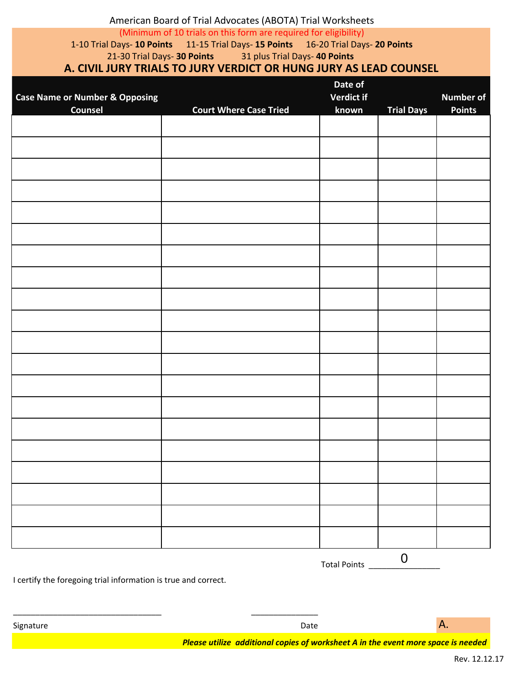# American Board of Trial Advocates (ABOTA) Trial Worksheets (Minimum of 10 trials on this form are required for eligibility) 1-10 Trial Days- **10 Points** 11-15 Trial Days- **15 Points** 16-20 Trial Days- **20 Points** 21-30 Trial Days- **30 Points** 31 plus Trial Days- **40 Points A. CIVIL JURY TRIALS TO JURY VERDICT OR HUNG JURY AS LEAD COUNSEL**

|                                           |                               | Date of             |                   |                  |
|-------------------------------------------|-------------------------------|---------------------|-------------------|------------------|
| <b>Case Name or Number &amp; Opposing</b> |                               | Verdict if          |                   | <b>Number of</b> |
| <b>Counsel</b>                            | <b>Court Where Case Tried</b> | known               | <b>Trial Days</b> | <b>Points</b>    |
|                                           |                               |                     |                   |                  |
|                                           |                               |                     |                   |                  |
|                                           |                               |                     |                   |                  |
|                                           |                               |                     |                   |                  |
|                                           |                               |                     |                   |                  |
|                                           |                               |                     |                   |                  |
|                                           |                               |                     |                   |                  |
|                                           |                               |                     |                   |                  |
|                                           |                               |                     |                   |                  |
|                                           |                               |                     |                   |                  |
|                                           |                               |                     |                   |                  |
|                                           |                               |                     |                   |                  |
|                                           |                               |                     |                   |                  |
|                                           |                               |                     |                   |                  |
|                                           |                               |                     |                   |                  |
|                                           |                               |                     |                   |                  |
|                                           |                               |                     |                   |                  |
|                                           |                               |                     |                   |                  |
|                                           |                               |                     |                   |                  |
|                                           |                               |                     |                   |                  |
|                                           |                               | $T = L = 1$ $R = 1$ | $\mathbf 0$       |                  |

Total Points \_\_\_\_\_\_

I certify the foregoing trial information is true and correct.

\_\_\_\_\_\_\_\_\_\_\_\_\_\_\_\_\_\_\_\_\_\_\_\_\_\_\_\_\_\_\_\_\_\_\_\_\_\_\_\_ \_\_\_\_\_\_\_\_\_\_\_\_\_\_\_

*Please utilize additional copies of worksheet A in the event more space is needed*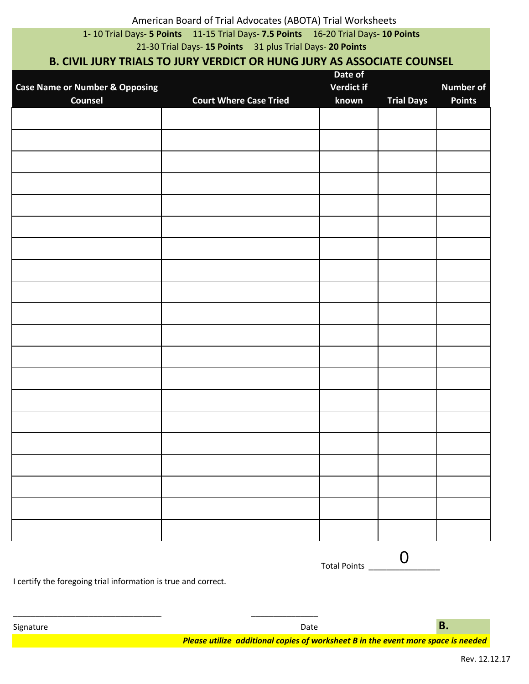# American Board of Trial Advocates (ABOTA) Trial Worksheets

1- 10 Trial Days- **5 Points** 11-15 Trial Days- **7.5 Points** 16-20 Trial Days- **10 Points**

21-30 Trial Days- **15 Points** 31 plus Trial Days- **20 Points**

## **B. CIVIL JURY TRIALS TO JURY VERDICT OR HUNG JURY AS ASSOCIATE COUNSEL**

| <b>Case Name or Number &amp; Opposing</b><br>Counsel | <b>Court Where Case Tried</b> | Date of<br>Verdict if<br>known | <b>Trial Days</b> | <b>Number of</b><br><b>Points</b> |
|------------------------------------------------------|-------------------------------|--------------------------------|-------------------|-----------------------------------|
|                                                      |                               |                                |                   |                                   |
|                                                      |                               |                                |                   |                                   |
|                                                      |                               |                                |                   |                                   |
|                                                      |                               |                                |                   |                                   |
|                                                      |                               |                                |                   |                                   |
|                                                      |                               |                                |                   |                                   |
|                                                      |                               |                                |                   |                                   |
|                                                      |                               |                                |                   |                                   |
|                                                      |                               |                                |                   |                                   |
|                                                      |                               |                                |                   |                                   |
|                                                      |                               |                                |                   |                                   |
|                                                      |                               |                                |                   |                                   |
|                                                      |                               |                                |                   |                                   |
|                                                      |                               |                                |                   |                                   |
|                                                      |                               |                                |                   |                                   |
|                                                      |                               |                                |                   |                                   |
|                                                      |                               |                                |                   |                                   |
|                                                      |                               |                                |                   |                                   |
|                                                      |                               |                                |                   |                                   |
|                                                      |                               |                                |                   |                                   |
|                                                      |                               |                                |                   |                                   |
|                                                      |                               |                                |                   |                                   |
|                                                      |                               |                                |                   |                                   |
|                                                      |                               |                                |                   |                                   |
|                                                      |                               |                                |                   |                                   |

I certify the foregoing trial information is true and correct.

*Please utilize additional copies of worksheet B in the event more space is needed*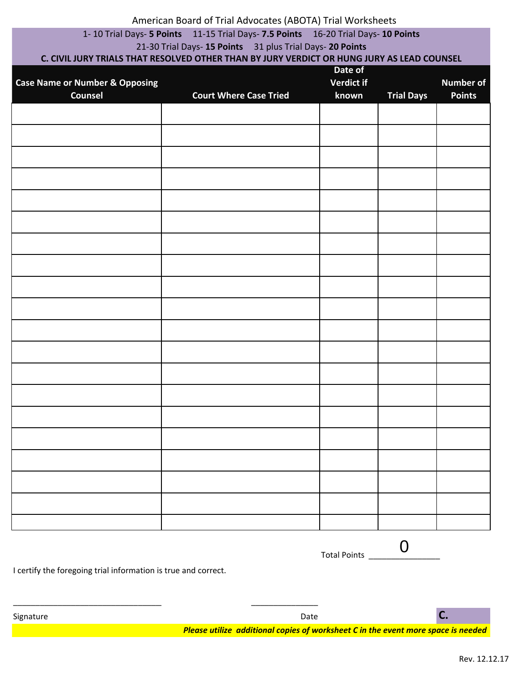#### American Board of Trial Advocates (ABOTA) Trial Worksheets

## 1- 10 Trial Days- **5 Points** 11-15 Trial Days- **7.5 Points** 16-20 Trial Days- **10 Points**

#### 21-30 Trial Days- **15 Points** 31 plus Trial Days- **20 Points**

## **C. CIVIL JURY TRIALS THAT RESOLVED OTHER THAN BY JURY VERDICT OR HUNG JURY AS LEAD COUNSEL**

|                                           | Date of                       |            |                   |                  |
|-------------------------------------------|-------------------------------|------------|-------------------|------------------|
| <b>Case Name or Number &amp; Opposing</b> |                               | Verdict if |                   | <b>Number of</b> |
| Counsel                                   | <b>Court Where Case Tried</b> | known      | <b>Trial Days</b> | <b>Points</b>    |
|                                           |                               |            |                   |                  |
|                                           |                               |            |                   |                  |
|                                           |                               |            |                   |                  |
|                                           |                               |            |                   |                  |
|                                           |                               |            |                   |                  |
|                                           |                               |            |                   |                  |
|                                           |                               |            |                   |                  |
|                                           |                               |            |                   |                  |
|                                           |                               |            |                   |                  |
|                                           |                               |            |                   |                  |
|                                           |                               |            |                   |                  |
|                                           |                               |            |                   |                  |
|                                           |                               |            |                   |                  |
|                                           |                               |            |                   |                  |
|                                           |                               |            |                   |                  |
|                                           |                               |            |                   |                  |
|                                           |                               |            |                   |                  |
|                                           |                               |            |                   |                  |
|                                           |                               |            |                   |                  |
|                                           |                               |            |                   |                  |
|                                           |                               |            |                   |                  |
|                                           |                               |            |                   |                  |
|                                           |                               |            |                   |                  |
|                                           |                               |            |                   |                  |
|                                           |                               |            |                   |                  |
|                                           |                               |            |                   |                  |
|                                           |                               |            |                   |                  |
|                                           |                               |            |                   |                  |
|                                           |                               |            |                   |                  |
|                                           |                               |            |                   |                  |
|                                           |                               |            |                   |                  |
|                                           |                               |            |                   |                  |
|                                           |                               |            |                   |                  |
|                                           |                               |            |                   |                  |
|                                           |                               |            |                   |                  |
|                                           |                               |            |                   |                  |

Total Points \_\_\_\_\_ 0

I certify the foregoing trial information is true and correct.

\_\_\_\_\_\_\_\_\_\_\_\_\_\_\_\_\_\_\_\_\_\_\_\_\_\_\_\_\_\_\_\_\_\_\_\_\_\_\_\_ \_\_\_\_\_\_\_\_\_\_\_\_\_\_\_

Signature Date **C.**

*Please utilize additional copies of worksheet C in the event more space is needed*